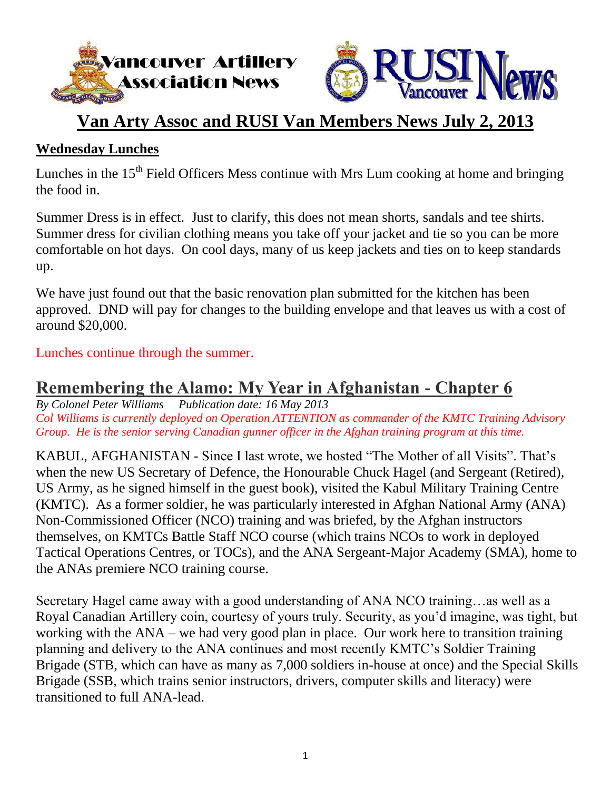



## **Van Arty Assoc and RUSI Van Members News July 2, 2013**

### **Wednesday Lunches**

Lunches in the  $15<sup>th</sup>$  Field Officers Mess continue with Mrs Lum cooking at home and bringing the food in.

Summer Dress is in effect. Just to clarify, this does not mean shorts, sandals and tee shirts. Summer dress for civilian clothing means you take off your jacket and tie so you can be more comfortable on hot days. On cool days, many of us keep jackets and ties on to keep standards up.

We have just found out that the basic renovation plan submitted for the kitchen has been approved. DND will pay for changes to the building envelope and that leaves us with a cost of around \$20,000.

Lunches continue through the summer.

## **Remembering the Alamo: My Year in Afghanistan - Chapter 6**

*By Colonel Peter Williams Publication date: 16 May 2013 Col Williams is currently deployed on Operation ATTENTION as commander of the KMTC Training Advisory Group. He is the senior serving Canadian gunner officer in the Afghan training program at this time.*

KABUL, AFGHANISTAN - Since I last wrote, we hosted "The Mother of all Visits". That's when the new US Secretary of Defence, the Honourable Chuck Hagel (and Sergeant (Retired), US Army, as he signed himself in the guest book), visited the Kabul Military Training Centre (KMTC). As a former soldier, he was particularly interested in Afghan National Army (ANA) Non-Commissioned Officer (NCO) training and was briefed, by the Afghan instructors themselves, on KMTCs Battle Staff NCO course (which trains NCOs to work in deployed Tactical Operations Centres, or TOCs), and the ANA Sergeant-Major Academy (SMA), home to the ANAs premiere NCO training course.

Secretary Hagel came away with a good understanding of ANA NCO training…as well as a Royal Canadian Artillery coin, courtesy of yours truly. Security, as you'd imagine, was tight, but working with the ANA – we had very good plan in place. Our work here to transition training planning and delivery to the ANA continues and most recently KMTC's Soldier Training Brigade (STB, which can have as many as 7,000 soldiers in-house at once) and the Special Skills Brigade (SSB, which trains senior instructors, drivers, computer skills and literacy) were transitioned to full ANA-lead.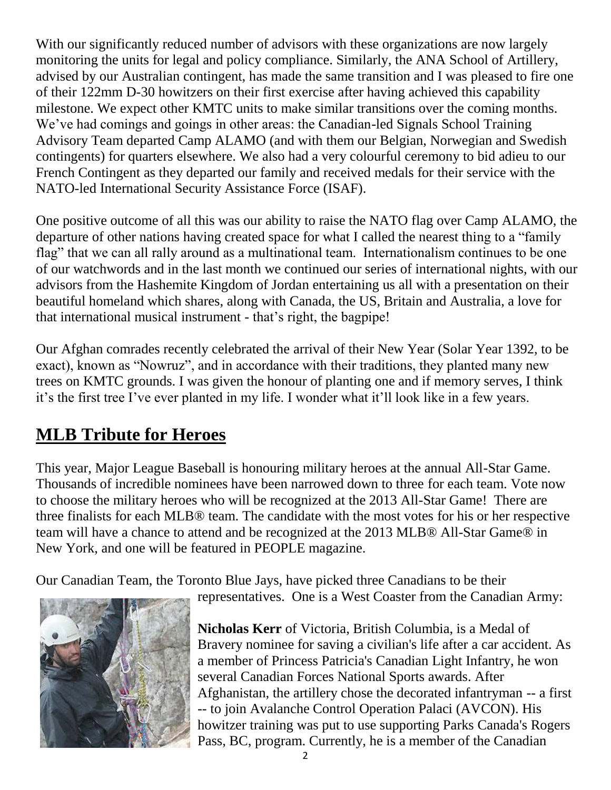With our significantly reduced number of advisors with these organizations are now largely monitoring the units for legal and policy compliance. Similarly, the ANA School of Artillery, advised by our Australian contingent, has made the same transition and I was pleased to fire one of their 122mm D-30 howitzers on their first exercise after having achieved this capability milestone. We expect other KMTC units to make similar transitions over the coming months. We've had comings and goings in other areas: the Canadian-led Signals School Training Advisory Team departed Camp ALAMO (and with them our Belgian, Norwegian and Swedish contingents) for quarters elsewhere. We also had a very colourful ceremony to bid adieu to our French Contingent as they departed our family and received medals for their service with the NATO-led International Security Assistance Force (ISAF).

One positive outcome of all this was our ability to raise the NATO flag over Camp ALAMO, the departure of other nations having created space for what I called the nearest thing to a "family flag" that we can all rally around as a multinational team. Internationalism continues to be one of our watchwords and in the last month we continued our series of international nights, with our advisors from the Hashemite Kingdom of Jordan entertaining us all with a presentation on their beautiful homeland which shares, along with Canada, the US, Britain and Australia, a love for that international musical instrument - that's right, the bagpipe!

Our Afghan comrades recently celebrated the arrival of their New Year (Solar Year 1392, to be exact), known as "Nowruz", and in accordance with their traditions, they planted many new trees on KMTC grounds. I was given the honour of planting one and if memory serves, I think it's the first tree I've ever planted in my life. I wonder what it'll look like in a few years.

## **MLB Tribute for Heroes**

This year, Major League Baseball is honouring military heroes at the annual All-Star Game. Thousands of incredible nominees have been narrowed down to three for each team. Vote now to choose the military heroes who will be recognized at the 2013 All-Star Game! There are three finalists for each MLB® team. The candidate with the most votes for his or her respective team will have a chance to attend and be recognized at the 2013 MLB® All-Star Game® in New York, and one will be featured in PEOPLE magazine.

Our Canadian Team, the Toronto Blue Jays, have picked three Canadians to be their



**Nicholas Kerr** of Victoria, British Columbia, is a Medal of Bravery nominee for saving a civilian's life after a car accident. As a member of Princess Patricia's Canadian Light Infantry, he won several Canadian Forces National Sports awards. After Afghanistan, the artillery chose the decorated infantryman -- a first -- to join Avalanche Control Operation Palaci (AVCON). His howitzer training was put to use supporting Parks Canada's Rogers Pass, BC, program. Currently, he is a member of the Canadian

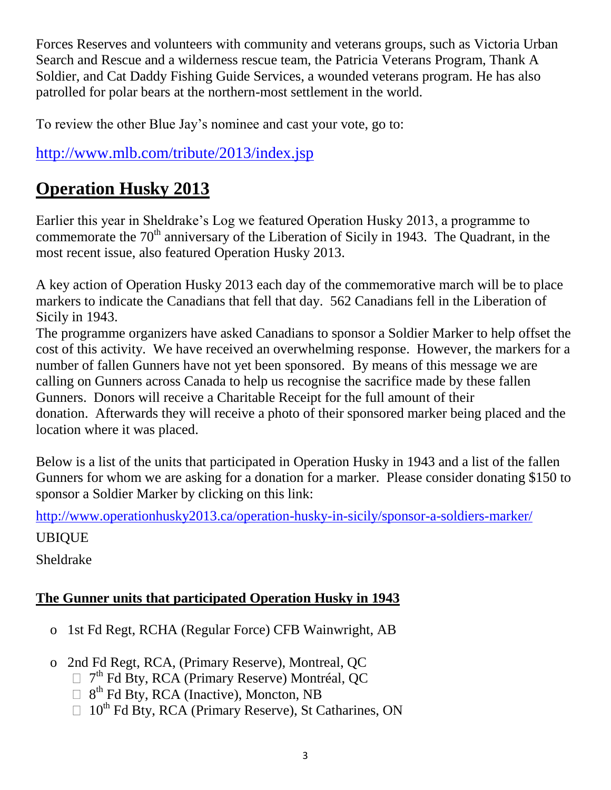Forces Reserves and volunteers with community and veterans groups, such as Victoria Urban Search and Rescue and a wilderness rescue team, the Patricia Veterans Program, Thank A Soldier, and Cat Daddy Fishing Guide Services, a wounded veterans program. He has also patrolled for polar bears at the northern-most settlement in the world.

To review the other Blue Jay's nominee and cast your vote, go to:

### <http://www.mlb.com/tribute/2013/index.jsp>

## **Operation Husky 2013**

Earlier this year in Sheldrake's Log we featured Operation Husky 2013, a programme to commemorate the  $70<sup>th</sup>$  anniversary of the Liberation of Sicily in 1943. The Quadrant, in the most recent issue, also featured Operation Husky 2013.

A key action of Operation Husky 2013 each day of the commemorative march will be to place markers to indicate the Canadians that fell that day. 562 Canadians fell in the Liberation of Sicily in 1943.

The programme organizers have asked Canadians to sponsor a Soldier Marker to help offset the cost of this activity. We have received an overwhelming response. However, the markers for a number of fallen Gunners have not yet been sponsored. By means of this message we are calling on Gunners across Canada to help us recognise the sacrifice made by these fallen Gunners. Donors will receive a Charitable Receipt for the full amount of their donation. Afterwards they will receive a photo of their sponsored marker being placed and the location where it was placed.

Below is a list of the units that participated in Operation Husky in 1943 and a list of the fallen Gunners for whom we are asking for a donation for a marker. Please consider donating \$150 to sponsor a Soldier Marker by clicking on this link:

<http://www.operationhusky2013.ca/operation-husky-in-sicily/sponsor-a-soldiers-marker/> UBIQUE

Sheldrake

### **The Gunner units that participated Operation Husky in 1943**

- o 1st Fd Regt, [RCHA](http://en.wikipedia.org/wiki/Royal_Canadian_Horse_Artillery) (Regular Force) CFB Wainwright, AB
- o 2nd Fd Regt, [RCA,](http://en.wikipedia.org/wiki/Royal_Canadian_Artillery) (Primary Reserve), Montreal, QC
	- 7<sup>th</sup> Fd Bty, RCA (Primary Reserve) Montréal, QC
	- 8<sup>th</sup> Fd Bty, RCA (Inactive), Moncton, NB
	- $\Box$  10<sup>th</sup> Fd Bty, RCA (Primary Reserve), St Catharines, ON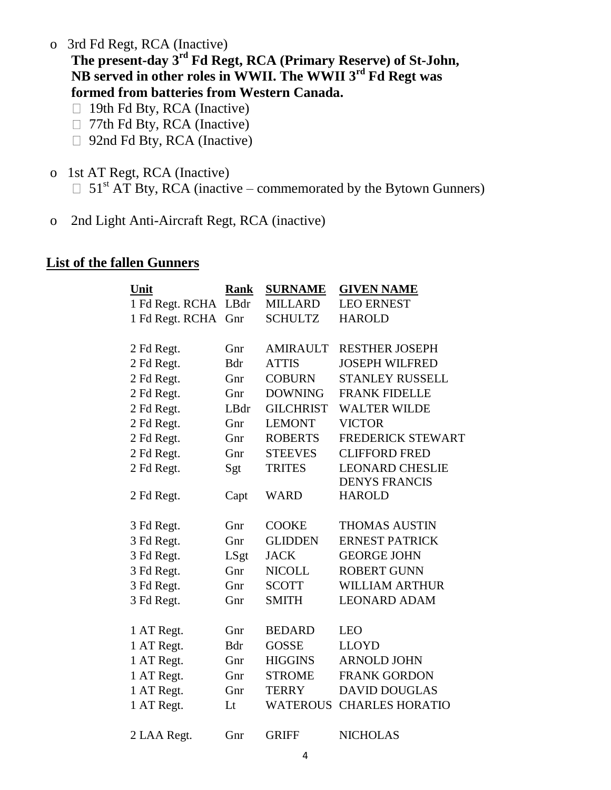o 3rd Fd Regt, RCA (Inactive)

**The present-day 3rd Fd Regt, RCA (Primary Reserve) of St-John, NB served in other roles in WWII. The WWII 3rd Fd Regt was formed from batteries from Western Canada.**

- □ 19th Fd Bty, RCA (Inactive)
- □ 77th Fd Bty, RCA (Inactive)
- □ 92nd Fd Bty, RCA (Inactive)
- o 1st AT Regt, RCA (Inactive)  $\Box$  51<sup>st</sup> AT Bty, RCA (inactive – commemorated by the Bytown Gunners)
- o 2nd Light Anti-Aircraft Regt, RCA (inactive)

#### **List of the fallen Gunners**

| Unit            | <b>Rank</b> | <b>SURNAME</b>   | <b>GIVEN NAME</b>        |
|-----------------|-------------|------------------|--------------------------|
| 1 Fd Regt. RCHA | LBdr        | <b>MILLARD</b>   | <b>LEO ERNEST</b>        |
| 1 Fd Regt. RCHA | Gnr         | <b>SCHULTZ</b>   | <b>HAROLD</b>            |
| 2 Fd Regt.      | Gnr         | <b>AMIRAULT</b>  | <b>RESTHER JOSEPH</b>    |
| 2 Fd Regt.      | <b>B</b> dr | <b>ATTIS</b>     | <b>JOSEPH WILFRED</b>    |
| 2 Fd Regt.      | Gnr         | <b>COBURN</b>    | <b>STANLEY RUSSELL</b>   |
| 2 Fd Regt.      | Gnr         | <b>DOWNING</b>   | <b>FRANK FIDELLE</b>     |
| 2 Fd Regt.      | LBdr        | <b>GILCHRIST</b> | <b>WALTER WILDE</b>      |
| 2 Fd Regt.      | Gnr         | <b>LEMONT</b>    | <b>VICTOR</b>            |
| 2 Fd Regt.      | Gnr         | <b>ROBERTS</b>   | <b>FREDERICK STEWART</b> |
| 2 Fd Regt.      | Gnr         | <b>STEEVES</b>   | <b>CLIFFORD FRED</b>     |
| 2 Fd Regt.      | Sgt         | <b>TRITES</b>    | <b>LEONARD CHESLIE</b>   |
|                 |             |                  | <b>DENYS FRANCIS</b>     |
| 2 Fd Regt.      | Capt        | <b>WARD</b>      | <b>HAROLD</b>            |
|                 |             |                  |                          |
| 3 Fd Regt.      | Gnr         | <b>COOKE</b>     | <b>THOMAS AUSTIN</b>     |
| 3 Fd Regt.      | Gnr         | <b>GLIDDEN</b>   | <b>ERNEST PATRICK</b>    |
| 3 Fd Regt.      | LSgt        | <b>JACK</b>      | <b>GEORGE JOHN</b>       |
| 3 Fd Regt.      | Gnr         | <b>NICOLL</b>    | <b>ROBERT GUNN</b>       |
| 3 Fd Regt.      | Gnr         | <b>SCOTT</b>     | <b>WILLIAM ARTHUR</b>    |
| 3 Fd Regt.      | Gnr         | <b>SMITH</b>     | <b>LEONARD ADAM</b>      |
|                 |             |                  |                          |
| 1 AT Regt.      | Gnr         | <b>BEDARD</b>    | <b>LEO</b>               |
| 1 AT Regt.      | <b>B</b> dr | <b>GOSSE</b>     | <b>LLOYD</b>             |
| 1 AT Regt.      | Gnr         | <b>HIGGINS</b>   | <b>ARNOLD JOHN</b>       |
| 1 AT Regt.      | Gnr         | <b>STROME</b>    | <b>FRANK GORDON</b>      |
| 1 AT Regt.      | Gnr         | <b>TERRY</b>     | <b>DAVID DOUGLAS</b>     |
| 1 AT Regt.      | Lt          | <b>WATEROUS</b>  | <b>CHARLES HORATIO</b>   |
| 2 LAA Regt.     | Gnr         | <b>GRIFF</b>     | <b>NICHOLAS</b>          |
|                 |             |                  |                          |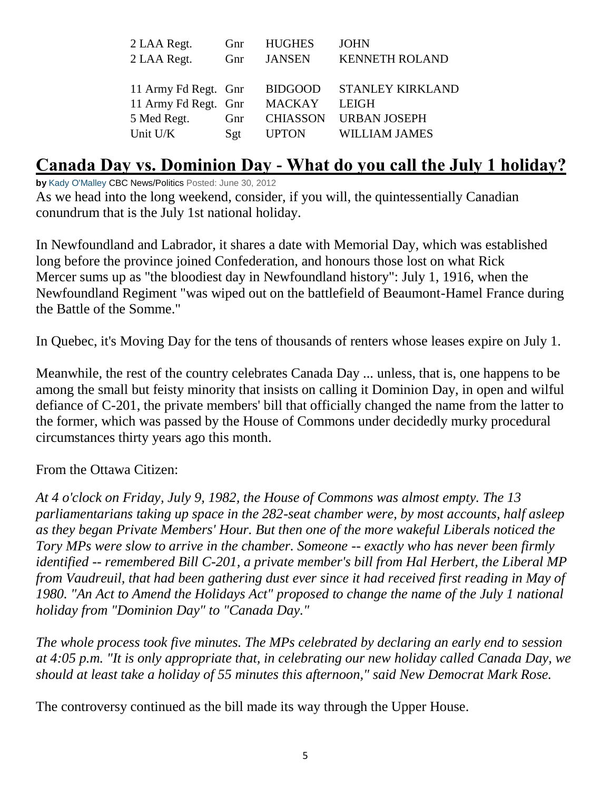| 2 LAA Regt.          | Gnr | <b>HUGHES</b>   | <b>JOHN</b>             |
|----------------------|-----|-----------------|-------------------------|
| 2 LAA Regt.          | Gnr | <b>JANSEN</b>   | <b>KENNETH ROLAND</b>   |
|                      |     |                 |                         |
| 11 Army Fd Regt. Gnr |     | <b>BIDGOOD</b>  | <b>STANLEY KIRKLAND</b> |
| 11 Army Fd Regt. Gnr |     | <b>MACKAY</b>   | <b>LEIGH</b>            |
| 5 Med Regt.          | Gnr | <b>CHIASSON</b> | <b>URBAN JOSEPH</b>     |
| Unit U/K             | Sgt | <b>UPTON</b>    | <b>WILLIAM JAMES</b>    |
|                      |     |                 |                         |

### **Canada Day vs. Dominion Day - What do you call the July 1 holiday?**

**by** [Kady O'Malley](http://www.cbc.ca/news/politics/inside-politics-blog/author/kady-omalley/) CBC News/Politics Posted: June 30, 2012

As we head into the long weekend, consider, if you will, the quintessentially Canadian conundrum that is the July 1st national holiday.

In Newfoundland and Labrador, it shares a date with Memorial Day, which was established long before the province joined Confederation, and honours those lost on what Rick Mercer sums up as "the bloodiest day in Newfoundland history": July 1, 1916, when the Newfoundland Regiment "was wiped out on the battlefield of Beaumont-Hamel France during the Battle of the Somme."

In Quebec, it's Moving Day for the tens of thousands of renters whose leases expire on July 1.

Meanwhile, the rest of the country celebrates Canada Day ... unless, that is, one happens to be among the small but feisty minority that insists on calling it Dominion Day, in open and wilful defiance of C-201, the private members' bill that officially changed the name from the latter to the former, which was passed by the House of Commons under decidedly murky procedural circumstances thirty years ago this month.

From the Ottawa Citizen:

*At 4 o'clock on Friday, July 9, 1982, the House of Commons was almost empty. The 13 parliamentarians taking up space in the 282-seat chamber were, by most accounts, half asleep as they began Private Members' Hour. But then one of the more wakeful Liberals noticed the Tory MPs were slow to arrive in the chamber. Someone -- exactly who has never been firmly identified -- remembered Bill C-201, a private member's bill from Hal Herbert, the Liberal MP from Vaudreuil, that had been gathering dust ever since it had received first reading in May of 1980. "An Act to Amend the Holidays Act" proposed to change the name of the July 1 national holiday from "Dominion Day" to "Canada Day."*

*The whole process took five minutes. The MPs celebrated by declaring an early end to session at 4:05 p.m. "It is only appropriate that, in celebrating our new holiday called Canada Day, we should at least take a holiday of 55 minutes this afternoon," said New Democrat Mark Rose.*

The controversy continued as the bill made its way through the Upper House.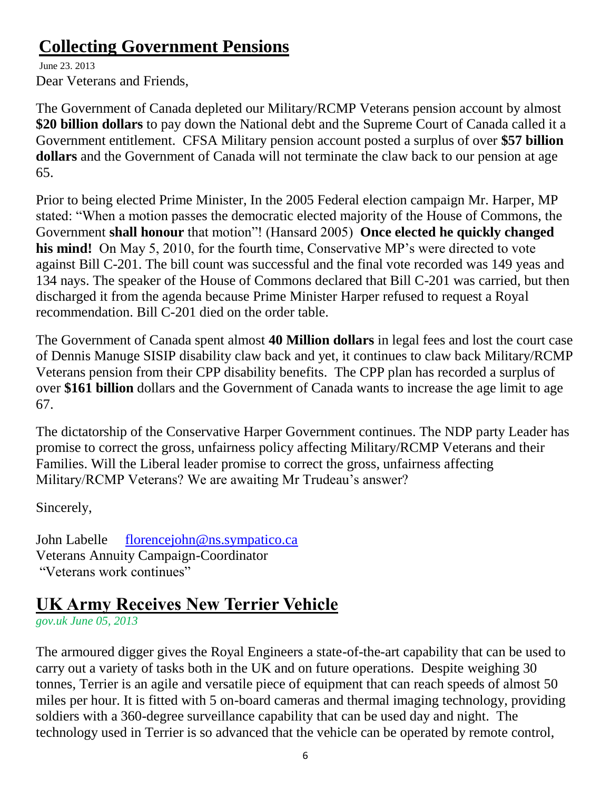## **Collecting Government Pensions**

June 23. 2013 Dear Veterans and Friends,

The Government of Canada depleted our Military/RCMP Veterans pension account by almost **\$20 billion dollars** to pay down the National debt and the Supreme Court of Canada called it a Government entitlement. CFSA Military pension account posted a surplus of over **\$57 billion dollars** and the Government of Canada will not terminate the claw back to our pension at age 65.

Prior to being elected Prime Minister, In the 2005 Federal election campaign Mr. Harper, MP stated: "When a motion passes the democratic elected majority of the House of Commons, the Government **shall honour** that motion"! (Hansard 2005) **Once elected he quickly changed his mind!** On May 5, 2010, for the fourth time, Conservative MP's were directed to vote against Bill C-201. The bill count was successful and the final vote recorded was 149 yeas and 134 nays. The speaker of the House of Commons declared that Bill C-201 was carried, but then discharged it from the agenda because Prime Minister Harper refused to request a Royal recommendation. Bill C-201 died on the order table.

The Government of Canada spent almost **40 Million dollars** in legal fees and lost the court case of Dennis Manuge SISIP disability claw back and yet, it continues to claw back Military/RCMP Veterans pension from their CPP disability benefits. The CPP plan has recorded a surplus of over **\$161 billion** dollars and the Government of Canada wants to increase the age limit to age 67.

The dictatorship of the Conservative Harper Government continues. The NDP party Leader has promise to correct the gross, unfairness policy affecting Military/RCMP Veterans and their Families. Will the Liberal leader promise to correct the gross, unfairness affecting Military/RCMP Veterans? We are awaiting Mr Trudeau's answer?

Sincerely,

John Labelle [florencejohn@ns.sympatico.ca](mailto:florencejohn@ns.sympatico.ca) Veterans Annuity Campaign-Coordinator "Veterans work continues"

# **UK Army Receives New Terrier Vehicle**

*gov.uk June 05, 2013*

The armoured digger gives the Royal Engineers a state-of-the-art capability that can be used to carry out a variety of tasks both in the UK and on future operations. Despite weighing 30 tonnes, Terrier is an agile and versatile piece of equipment that can reach speeds of almost 50 miles per hour. It is fitted with 5 on-board cameras and thermal imaging technology, providing soldiers with a 360-degree surveillance capability that can be used day and night. The technology used in Terrier is so advanced that the vehicle can be operated by remote control,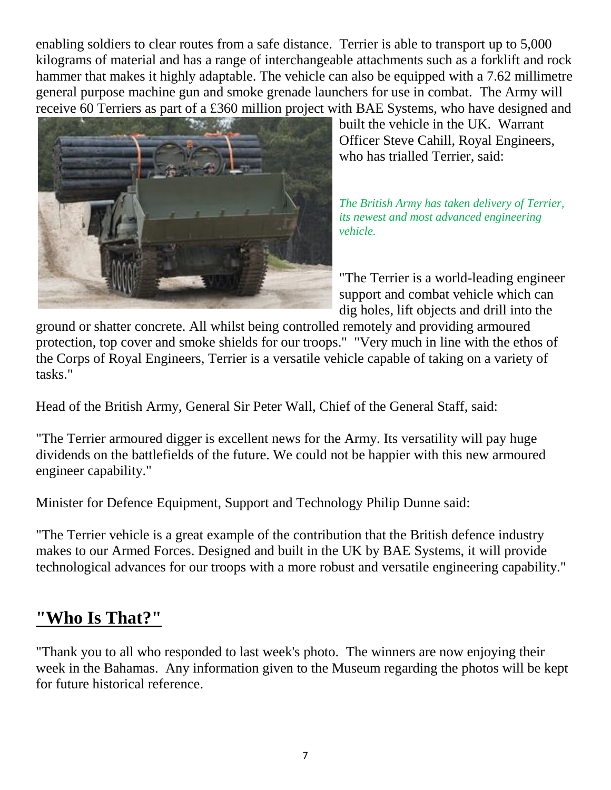enabling soldiers to clear routes from a safe distance. Terrier is able to transport up to 5,000 kilograms of material and has a range of interchangeable attachments such as a forklift and rock hammer that makes it highly adaptable. The vehicle can also be equipped with a 7.62 millimetre general purpose machine gun and smoke grenade launchers for use in combat. The Army will receive 60 Terriers as part of a £360 million project with BAE Systems, who have designed and



built the vehicle in the UK. Warrant Officer Steve Cahill, Royal Engineers, who has trialled Terrier, said:

*The British Army has taken delivery of Terrier, its newest and most advanced engineering vehicle.*

"The Terrier is a world-leading engineer support and combat vehicle which can dig holes, lift objects and drill into the

ground or shatter concrete. All whilst being controlled remotely and providing armoured protection, top cover and smoke shields for our troops." "Very much in line with the ethos of the Corps of Royal Engineers, Terrier is a versatile vehicle capable of taking on a variety of tasks."

Head of the British Army, General Sir Peter Wall, Chief of the General Staff, said:

"The Terrier armoured digger is excellent news for the Army. Its versatility will pay huge dividends on the battlefields of the future. We could not be happier with this new armoured engineer capability."

Minister for Defence Equipment, Support and Technology Philip Dunne said:

"The Terrier vehicle is a great example of the contribution that the British defence industry makes to our Armed Forces. Designed and built in the UK by BAE Systems, it will provide technological advances for our troops with a more robust and versatile engineering capability."

### **"Who Is That?"**

"Thank you to all who responded to last week's photo. The winners are now enjoying their week in the Bahamas. Any information given to the Museum regarding the photos will be kept for future historical reference.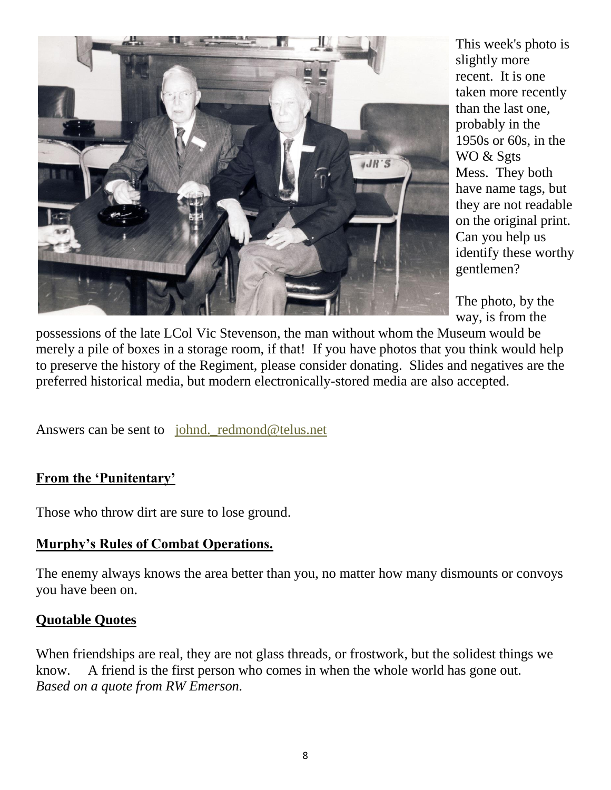

This week's photo is slightly more recent. It is one taken more recently than the last one, probably in the 1950s or 60s, in the WO & Sgts Mess. They both have name tags, but they are not readable on the original print. Can you help us identify these worthy gentlemen?

The photo, by the way, is from the

possessions of the late LCol Vic Stevenson, the man without whom the Museum would be merely a pile of boxes in a storage room, if that! If you have photos that you think would help to preserve the history of the Regiment, please consider donating. Slides and negatives are the preferred historical media, but modern electronically-stored media are also accepted.

Answers can be sent to johnd. redmond@telus.net

#### **From the 'Punitentary'**

Those who throw dirt are sure to lose ground.

#### **Murphy's Rules of Combat Operations.**

The enemy always knows the area better than you, no matter how many dismounts or convoys you have been on.

#### **Quotable Quotes**

When friendships are real, they are not glass threads, or frostwork, but the solidest things we know. A friend is the first person who comes in when the whole world has gone out. *Based on a quote from RW Emerson.*